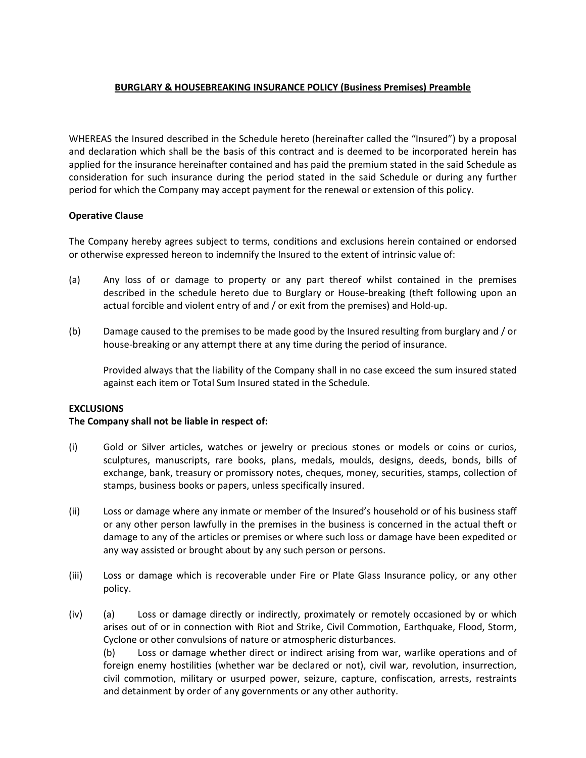# BURGLARY & HOUSEBREAKING INSURANCE POLICY (Business Premises) Preamble

WHEREAS the Insured described in the Schedule hereto (hereinafter called the "Insured") by a proposal and declaration which shall be the basis of this contract and is deemed to be incorporated herein has applied for the insurance hereinafter contained and has paid the premium stated in the said Schedule as consideration for such insurance during the period stated in the said Schedule or during any further period for which the Company may accept payment for the renewal or extension of this policy.

# Operative Clause

The Company hereby agrees subject to terms, conditions and exclusions herein contained or endorsed or otherwise expressed hereon to indemnify the Insured to the extent of intrinsic value of:

- (a) Any loss of or damage to property or any part thereof whilst contained in the premises described in the schedule hereto due to Burglary or House-breaking (theft following upon an actual forcible and violent entry of and / or exit from the premises) and Hold-up.
- (b) Damage caused to the premises to be made good by the Insured resulting from burglary and / or house-breaking or any attempt there at any time during the period of insurance.

 Provided always that the liability of the Company shall in no case exceed the sum insured stated against each item or Total Sum Insured stated in the Schedule.

## EXCLUSIONS

## The Company shall not be liable in respect of:

- (i) Gold or Silver articles, watches or jewelry or precious stones or models or coins or curios, sculptures, manuscripts, rare books, plans, medals, moulds, designs, deeds, bonds, bills of exchange, bank, treasury or promissory notes, cheques, money, securities, stamps, collection of stamps, business books or papers, unless specifically insured.
- (ii) Loss or damage where any inmate or member of the Insured's household or of his business staff or any other person lawfully in the premises in the business is concerned in the actual theft or damage to any of the articles or premises or where such loss or damage have been expedited or any way assisted or brought about by any such person or persons.
- (iii) Loss or damage which is recoverable under Fire or Plate Glass Insurance policy, or any other policy.
- (iv) (a) Loss or damage directly or indirectly, proximately or remotely occasioned by or which arises out of or in connection with Riot and Strike, Civil Commotion, Earthquake, Flood, Storm, Cyclone or other convulsions of nature or atmospheric disturbances.

 (b) Loss or damage whether direct or indirect arising from war, warlike operations and of foreign enemy hostilities (whether war be declared or not), civil war, revolution, insurrection, civil commotion, military or usurped power, seizure, capture, confiscation, arrests, restraints and detainment by order of any governments or any other authority.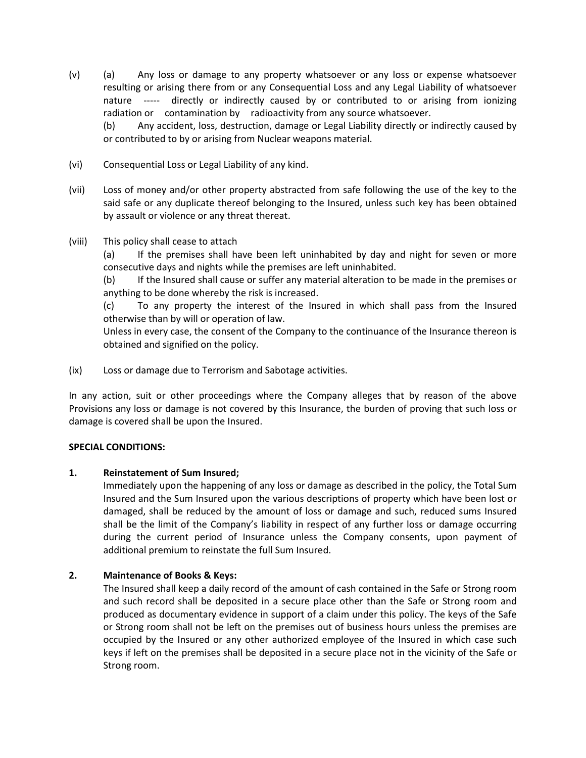- (v) (a) Any loss or damage to any property whatsoever or any loss or expense whatsoever resulting or arising there from or any Consequential Loss and any Legal Liability of whatsoever nature ----- directly or indirectly caused by or contributed to or arising from ionizing radiation or contamination by radioactivity from any source whatsoever. (b) Any accident, loss, destruction, damage or Legal Liability directly or indirectly caused by or contributed to by or arising from Nuclear weapons material.
- (vi) Consequential Loss or Legal Liability of any kind.
- (vii) Loss of money and/or other property abstracted from safe following the use of the key to the said safe or any duplicate thereof belonging to the Insured, unless such key has been obtained by assault or violence or any threat thereat.
- (viii) This policy shall cease to attach

 (a) If the premises shall have been left uninhabited by day and night for seven or more consecutive days and nights while the premises are left uninhabited.

 (b) If the Insured shall cause or suffer any material alteration to be made in the premises or anything to be done whereby the risk is increased.

 (c) To any property the interest of the Insured in which shall pass from the Insured otherwise than by will or operation of law.

Unless in every case, the consent of the Company to the continuance of the Insurance thereon is obtained and signified on the policy.

(ix) Loss or damage due to Terrorism and Sabotage activities.

In any action, suit or other proceedings where the Company alleges that by reason of the above Provisions any loss or damage is not covered by this Insurance, the burden of proving that such loss or damage is covered shall be upon the Insured.

## SPECIAL CONDITIONS:

## 1. Reinstatement of Sum Insured;

Immediately upon the happening of any loss or damage as described in the policy, the Total Sum Insured and the Sum Insured upon the various descriptions of property which have been lost or damaged, shall be reduced by the amount of loss or damage and such, reduced sums Insured shall be the limit of the Company's liability in respect of any further loss or damage occurring during the current period of Insurance unless the Company consents, upon payment of additional premium to reinstate the full Sum Insured.

## 2. Maintenance of Books & Keys:

 The Insured shall keep a daily record of the amount of cash contained in the Safe or Strong room and such record shall be deposited in a secure place other than the Safe or Strong room and produced as documentary evidence in support of a claim under this policy. The keys of the Safe or Strong room shall not be left on the premises out of business hours unless the premises are occupied by the Insured or any other authorized employee of the Insured in which case such keys if left on the premises shall be deposited in a secure place not in the vicinity of the Safe or Strong room.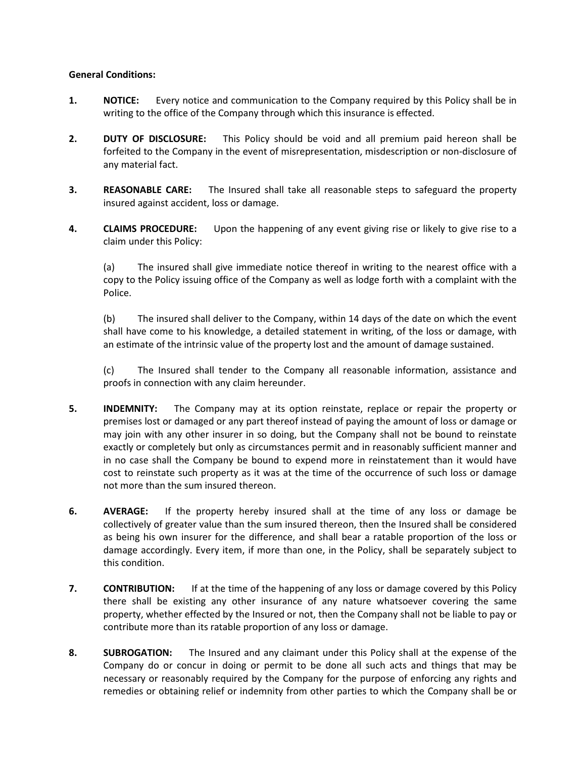## General Conditions:

- 1. NOTICE: Every notice and communication to the Company required by this Policy shall be in writing to the office of the Company through which this insurance is effected.
- 2. **DUTY OF DISCLOSURE:** This Policy should be void and all premium paid hereon shall be forfeited to the Company in the event of misrepresentation, misdescription or non-disclosure of any material fact.
- **3.** REASONABLE CARE: The Insured shall take all reasonable steps to safeguard the property insured against accident, loss or damage.
- 4. **CLAIMS PROCEDURE:** Upon the happening of any event giving rise or likely to give rise to a claim under this Policy:

 (a) The insured shall give immediate notice thereof in writing to the nearest office with a copy to the Policy issuing office of the Company as well as lodge forth with a complaint with the Police.

 (b) The insured shall deliver to the Company, within 14 days of the date on which the event shall have come to his knowledge, a detailed statement in writing, of the loss or damage, with an estimate of the intrinsic value of the property lost and the amount of damage sustained.

 (c) The Insured shall tender to the Company all reasonable information, assistance and proofs in connection with any claim hereunder.

- 5. INDEMNITY: The Company may at its option reinstate, replace or repair the property or premises lost or damaged or any part thereof instead of paying the amount of loss or damage or may join with any other insurer in so doing, but the Company shall not be bound to reinstate exactly or completely but only as circumstances permit and in reasonably sufficient manner and in no case shall the Company be bound to expend more in reinstatement than it would have cost to reinstate such property as it was at the time of the occurrence of such loss or damage not more than the sum insured thereon.
- 6. AVERAGE: If the property hereby insured shall at the time of any loss or damage be collectively of greater value than the sum insured thereon, then the Insured shall be considered as being his own insurer for the difference, and shall bear a ratable proportion of the loss or damage accordingly. Every item, if more than one, in the Policy, shall be separately subject to this condition.
- 7. **CONTRIBUTION:** If at the time of the happening of any loss or damage covered by this Policy there shall be existing any other insurance of any nature whatsoever covering the same property, whether effected by the Insured or not, then the Company shall not be liable to pay or contribute more than its ratable proportion of any loss or damage.
- 8. SUBROGATION: The Insured and any claimant under this Policy shall at the expense of the Company do or concur in doing or permit to be done all such acts and things that may be necessary or reasonably required by the Company for the purpose of enforcing any rights and remedies or obtaining relief or indemnity from other parties to which the Company shall be or